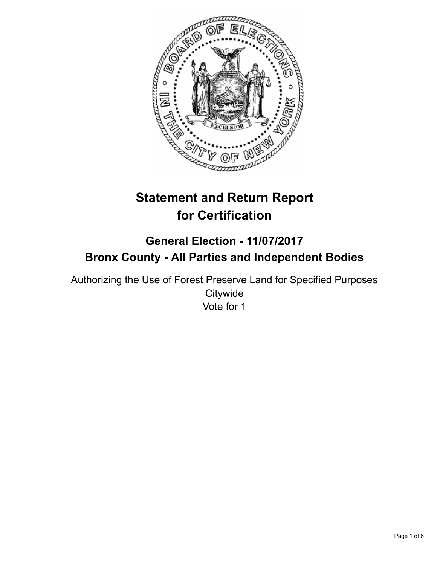

# **Statement and Return Report for Certification**

# **General Election - 11/07/2017 Bronx County - All Parties and Independent Bodies**

Authorizing the Use of Forest Preserve Land for Specified Purposes **Citywide** Vote for 1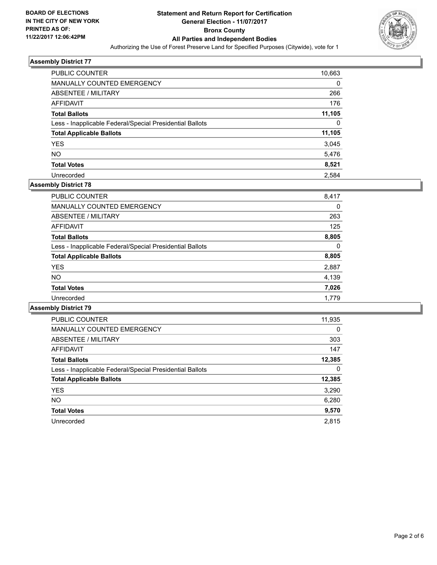

| <b>PUBLIC COUNTER</b>                                    | 10,663 |
|----------------------------------------------------------|--------|
| <b>MANUALLY COUNTED EMERGENCY</b>                        | 0      |
| ABSENTEE / MILITARY                                      | 266    |
| AFFIDAVIT                                                | 176    |
| <b>Total Ballots</b>                                     | 11,105 |
| Less - Inapplicable Federal/Special Presidential Ballots | 0      |
| <b>Total Applicable Ballots</b>                          | 11,105 |
| <b>YES</b>                                               | 3,045  |
| <b>NO</b>                                                | 5,476  |
| <b>Total Votes</b>                                       | 8,521  |
| Unrecorded                                               | 2.584  |

# **Assembly District 78**

| <b>PUBLIC COUNTER</b>                                    | 8,417 |
|----------------------------------------------------------|-------|
| <b>MANUALLY COUNTED EMERGENCY</b>                        | 0     |
| ABSENTEE / MILITARY                                      | 263   |
| AFFIDAVIT                                                | 125   |
| <b>Total Ballots</b>                                     | 8,805 |
| Less - Inapplicable Federal/Special Presidential Ballots | 0     |
| <b>Total Applicable Ballots</b>                          | 8,805 |
| <b>YES</b>                                               | 2,887 |
| <b>NO</b>                                                | 4,139 |
| <b>Total Votes</b>                                       | 7,026 |
| Unrecorded                                               | 1.779 |

| <b>PUBLIC COUNTER</b>                                    | 11,935 |
|----------------------------------------------------------|--------|
| <b>MANUALLY COUNTED EMERGENCY</b>                        | 0      |
| ABSENTEE / MILITARY                                      | 303    |
| AFFIDAVIT                                                | 147    |
| <b>Total Ballots</b>                                     | 12,385 |
| Less - Inapplicable Federal/Special Presidential Ballots | 0      |
| <b>Total Applicable Ballots</b>                          | 12,385 |
| <b>YES</b>                                               | 3,290  |
| NO.                                                      | 6,280  |
| <b>Total Votes</b>                                       | 9,570  |
| Unrecorded                                               | 2.815  |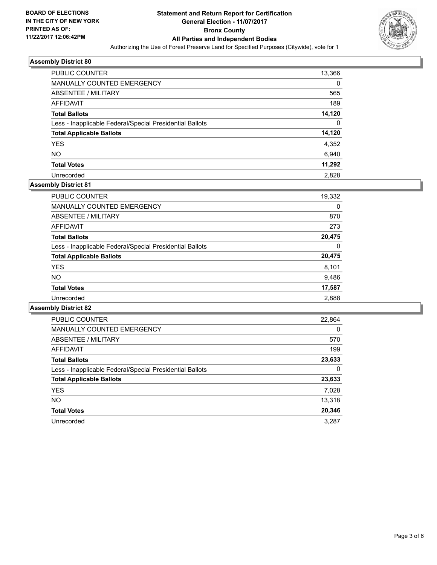

| <b>PUBLIC COUNTER</b>                                    | 13,366 |
|----------------------------------------------------------|--------|
| <b>MANUALLY COUNTED EMERGENCY</b>                        | 0      |
| ABSENTEE / MILITARY                                      | 565    |
| AFFIDAVIT                                                | 189    |
| <b>Total Ballots</b>                                     | 14,120 |
| Less - Inapplicable Federal/Special Presidential Ballots | 0      |
| <b>Total Applicable Ballots</b>                          | 14,120 |
| <b>YES</b>                                               | 4,352  |
| <b>NO</b>                                                | 6,940  |
| <b>Total Votes</b>                                       | 11,292 |
| Unrecorded                                               | 2.828  |

# **Assembly District 81**

| <b>PUBLIC COUNTER</b>                                    | 19,332 |
|----------------------------------------------------------|--------|
| <b>MANUALLY COUNTED EMERGENCY</b>                        | 0      |
| ABSENTEE / MILITARY                                      | 870    |
| AFFIDAVIT                                                | 273    |
| <b>Total Ballots</b>                                     | 20,475 |
| Less - Inapplicable Federal/Special Presidential Ballots | 0      |
| <b>Total Applicable Ballots</b>                          | 20,475 |
| <b>YES</b>                                               | 8,101  |
| <b>NO</b>                                                | 9,486  |
| <b>Total Votes</b>                                       | 17,587 |
| Unrecorded                                               | 2,888  |

| <b>PUBLIC COUNTER</b>                                    | 22,864   |
|----------------------------------------------------------|----------|
| <b>MANUALLY COUNTED EMERGENCY</b>                        | $\Omega$ |
| ABSENTEE / MILITARY                                      | 570      |
| AFFIDAVIT                                                | 199      |
| <b>Total Ballots</b>                                     | 23,633   |
| Less - Inapplicable Federal/Special Presidential Ballots | 0        |
| <b>Total Applicable Ballots</b>                          | 23,633   |
| <b>YES</b>                                               | 7,028    |
| NO.                                                      | 13,318   |
| <b>Total Votes</b>                                       | 20,346   |
| Unrecorded                                               | 3.287    |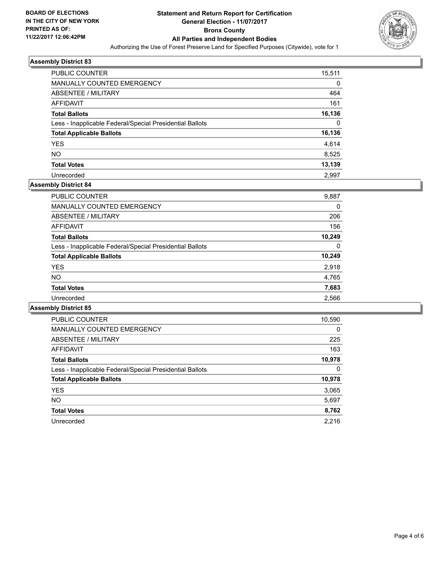

| <b>PUBLIC COUNTER</b>                                    | 15,511 |
|----------------------------------------------------------|--------|
| <b>MANUALLY COUNTED EMERGENCY</b>                        | 0      |
| ABSENTEE / MILITARY                                      | 464    |
| AFFIDAVIT                                                | 161    |
| <b>Total Ballots</b>                                     | 16,136 |
| Less - Inapplicable Federal/Special Presidential Ballots | 0      |
| <b>Total Applicable Ballots</b>                          | 16,136 |
| <b>YES</b>                                               | 4,614  |
| <b>NO</b>                                                | 8,525  |
| <b>Total Votes</b>                                       | 13,139 |
| Unrecorded                                               | 2.997  |

# **Assembly District 84**

| 9,887  |
|--------|
| 0      |
| 206    |
| 156    |
| 10.249 |
| 0      |
| 10,249 |
| 2,918  |
| 4,765  |
| 7,683  |
| 2,566  |
|        |

| <b>PUBLIC COUNTER</b>                                    | 10,590 |
|----------------------------------------------------------|--------|
| <b>MANUALLY COUNTED EMERGENCY</b>                        | 0      |
| ABSENTEE / MILITARY                                      | 225    |
| <b>AFFIDAVIT</b>                                         | 163    |
| <b>Total Ballots</b>                                     | 10,978 |
| Less - Inapplicable Federal/Special Presidential Ballots | 0      |
| <b>Total Applicable Ballots</b>                          | 10,978 |
| <b>YES</b>                                               | 3,065  |
| NO.                                                      | 5,697  |
| <b>Total Votes</b>                                       | 8,762  |
| Unrecorded                                               | 2.216  |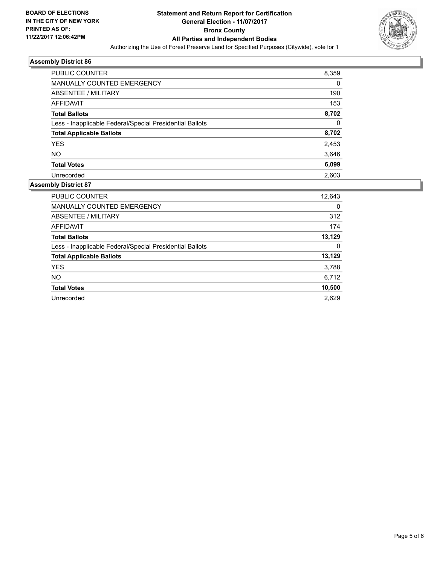

| <b>PUBLIC COUNTER</b>                                    | 8,359 |
|----------------------------------------------------------|-------|
| MANUALLY COUNTED EMERGENCY                               | 0     |
| ABSENTEE / MILITARY                                      | 190   |
| AFFIDAVIT                                                | 153   |
| <b>Total Ballots</b>                                     | 8,702 |
| Less - Inapplicable Federal/Special Presidential Ballots | 0     |
| <b>Total Applicable Ballots</b>                          | 8,702 |
| <b>YES</b>                                               | 2,453 |
| <b>NO</b>                                                | 3,646 |
| <b>Total Votes</b>                                       | 6,099 |
| Unrecorded                                               | 2.603 |

| <b>PUBLIC COUNTER</b>                                    | 12,643 |
|----------------------------------------------------------|--------|
| <b>MANUALLY COUNTED EMERGENCY</b>                        | 0      |
| ABSENTEE / MILITARY                                      | 312    |
| AFFIDAVIT                                                | 174    |
| <b>Total Ballots</b>                                     | 13,129 |
| Less - Inapplicable Federal/Special Presidential Ballots | 0      |
| <b>Total Applicable Ballots</b>                          | 13,129 |
| <b>YES</b>                                               | 3,788  |
| <b>NO</b>                                                | 6,712  |
| <b>Total Votes</b>                                       | 10,500 |
| Unrecorded                                               | 2.629  |